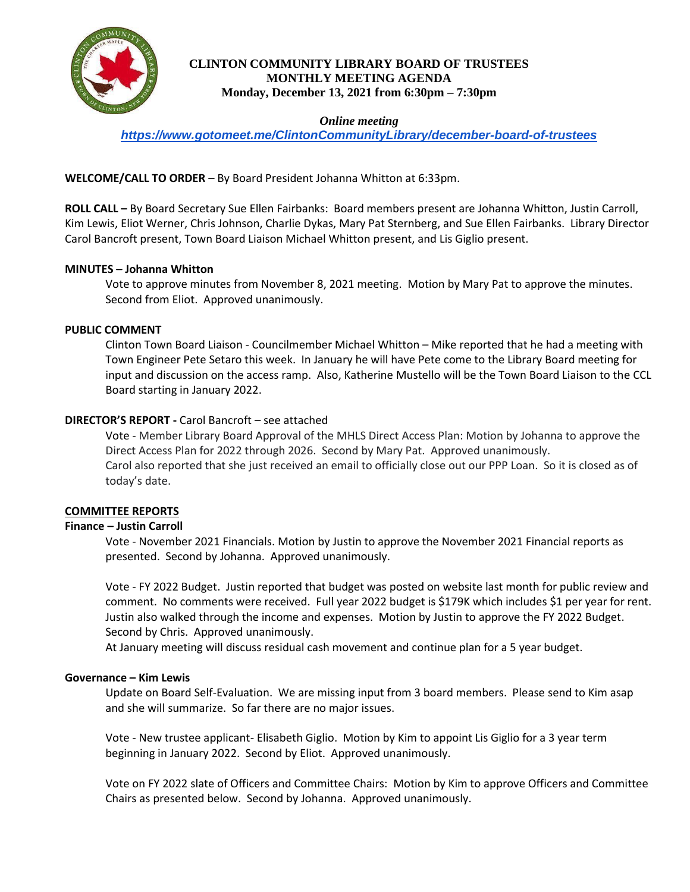

## **CLINTON COMMUNITY LIBRARY BOARD OF TRUSTEES MONTHLY MEETING AGENDA Monday, December 13, 2021 from 6:30pm – 7:30pm**

## *Online meeting*

*<https://www.gotomeet.me/ClintonCommunityLibrary/december-board-of-trustees>*

# **WELCOME/CALL TO ORDER** – By Board President Johanna Whitton at 6:33pm.

**ROLL CALL –** By Board Secretary Sue Ellen Fairbanks: Board members present are Johanna Whitton, Justin Carroll, Kim Lewis, Eliot Werner, Chris Johnson, Charlie Dykas, Mary Pat Sternberg, and Sue Ellen Fairbanks. Library Director Carol Bancroft present, Town Board Liaison Michael Whitton present, and Lis Giglio present.

### **MINUTES – Johanna Whitton**

Vote to approve minutes from November 8, 2021 meeting. Motion by Mary Pat to approve the minutes. Second from Eliot. Approved unanimously.

# **PUBLIC COMMENT**

Clinton Town Board Liaison - Councilmember Michael Whitton – Mike reported that he had a meeting with Town Engineer Pete Setaro this week. In January he will have Pete come to the Library Board meeting for input and discussion on the access ramp. Also, Katherine Mustello will be the Town Board Liaison to the CCL Board starting in January 2022.

# **DIRECTOR'S REPORT -** Carol Bancroft – see attached

Vote - Member Library Board Approval of the MHLS Direct Access Plan: Motion by Johanna to approve the Direct Access Plan for 2022 through 2026. Second by Mary Pat. Approved unanimously. Carol also reported that she just received an email to officially close out our PPP Loan. So it is closed as of today's date.

### **COMMITTEE REPORTS**

### **Finance – Justin Carroll**

Vote - November 2021 Financials. Motion by Justin to approve the November 2021 Financial reports as presented. Second by Johanna. Approved unanimously.

Vote - FY 2022 Budget. Justin reported that budget was posted on website last month for public review and comment. No comments were received. Full year 2022 budget is \$179K which includes \$1 per year for rent. Justin also walked through the income and expenses. Motion by Justin to approve the FY 2022 Budget. Second by Chris. Approved unanimously.

At January meeting will discuss residual cash movement and continue plan for a 5 year budget.

### **Governance – Kim Lewis**

Update on Board Self-Evaluation. We are missing input from 3 board members. Please send to Kim asap and she will summarize. So far there are no major issues.

Vote - New trustee applicant- Elisabeth Giglio. Motion by Kim to appoint Lis Giglio for a 3 year term beginning in January 2022. Second by Eliot. Approved unanimously.

Vote on FY 2022 slate of Officers and Committee Chairs: Motion by Kim to approve Officers and Committee Chairs as presented below. Second by Johanna. Approved unanimously.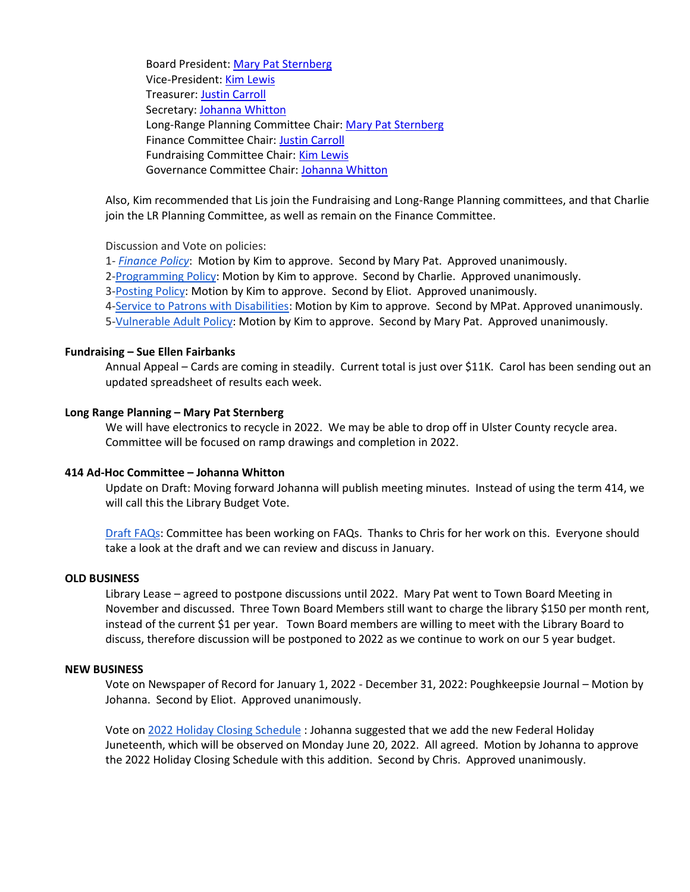Board President[: Mary Pat Sternberg](mailto:mpsternberg@optonline.net) Vice-President: [Kim Lewis](mailto:klewis@clintoncommunitylibrary.org) Treasurer: [Justin Carroll](mailto:justinfcarroll@yahoo.com) Secretary: [Johanna Whitton](mailto:Johannawhitton@outlook.com) Long-Range Planning Committee Chair: [Mary Pat Sternberg](mailto:mpsternberg@optonline.net) Finance Committee Chair: [Justin Carroll](mailto:justinfcarroll@yahoo.com) Fundraising Committee Chair: [Kim Lewis](mailto:klewis@clintoncommunitylibrary.org) Governance Committee Chair: [Johanna Whitton](mailto:Johannawhitton@outlook.com)

Also, Kim recommended that Lis join the Fundraising and Long-Range Planning committees, and that Charlie join the LR Planning Committee, as well as remain on the Finance Committee.

Discussion and Vote on policies:

1- *[Finance Policy](https://docs.google.com/document/d/11BP1Bl_7I2jxXgaTbJdi0o4NAlVb8z5E/edit#heading=h.gjdgxs)*: Motion by Kim to approve. Second by Mary Pat. Approved unanimously.

2[-Programming Policy:](https://docs.google.com/document/d/1P95WSvr9cmHB0HftzI9Xp1Kt_wu5cdUt/edit?usp=sharing&ouid=104896141818991429759&rtpof=true&sd=true) Motion by Kim to approve. Second by Charlie. Approved unanimously.

3[-Posting Policy:](https://docs.google.com/document/d/11DhEys3IvEieeopqwLmASLMQL4WUd7owZZAgxKg94kM/edit?usp=sharing) Motion by Kim to approve. Second by Eliot. Approved unanimously.

4[-Service to Patrons with Disabilities:](https://docs.google.com/document/d/1jRXqd1ltifmGgjvN56TKdKYXFpG4RU7wPUX3uCwDTlI/edit?usp=sharing) Motion by Kim to approve. Second by MPat. Approved unanimously.

5[-Vulnerable Adult Policy:](https://docs.google.com/document/d/1VB7wvOX3tbkaar_51OpeTxG7MjvaBGRHJ_UDHq8uCBE/edit?usp=sharing) Motion by Kim to approve. Second by Mary Pat. Approved unanimously.

#### **Fundraising – Sue Ellen Fairbanks**

Annual Appeal – Cards are coming in steadily. Current total is just over \$11K. Carol has been sending out an updated spreadsheet of results each week.

#### **Long Range Planning – Mary Pat Sternberg**

We will have electronics to recycle in 2022. We may be able to drop off in Ulster County recycle area. Committee will be focused on ramp drawings and completion in 2022.

#### **414 Ad-Hoc Committee – Johanna Whitton**

Update on Draft: Moving forward Johanna will publish meeting minutes. Instead of using the term 414, we will call this the Library Budget Vote.

[Draft FAQs:](https://docs.google.com/document/d/1qG2emgnLX1AOWY1Upg12m2RBLVi3UKf7xWgBgpgMN2I/edit?usp=sharing) Committee has been working on FAQs. Thanks to Chris for her work on this. Everyone should take a look at the draft and we can review and discuss in January.

#### **OLD BUSINESS**

Library Lease – agreed to postpone discussions until 2022. Mary Pat went to Town Board Meeting in November and discussed. Three Town Board Members still want to charge the library \$150 per month rent, instead of the current \$1 per year. Town Board members are willing to meet with the Library Board to discuss, therefore discussion will be postponed to 2022 as we continue to work on our 5 year budget.

#### **NEW BUSINESS**

Vote on Newspaper of Record for January 1, 2022 - December 31, 2022: Poughkeepsie Journal – Motion by Johanna. Second by Eliot. Approved unanimously.

Vote o[n 2022 Holiday Closing Schedule](https://docs.google.com/document/d/17xNLSiAlPmftMXKLn3C6q-MyrKq730goBhoj1iw4UGs/edit?usp=sharing) : Johanna suggested that we add the new Federal Holiday Juneteenth, which will be observed on Monday June 20, 2022. All agreed. Motion by Johanna to approve the 2022 Holiday Closing Schedule with this addition. Second by Chris. Approved unanimously.